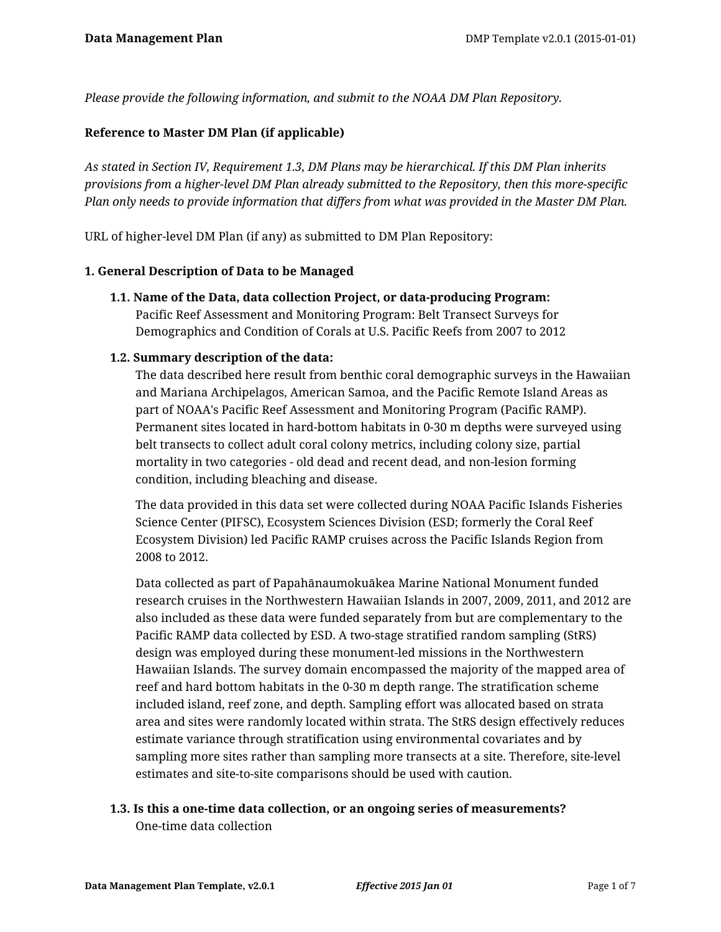*Please provide the following information, and submit to the NOAA DM Plan Repository.*

#### **Reference to Master DM Plan (if applicable)**

*As stated in Section IV, Requirement 1.3, DM Plans may be hierarchical. If this DM Plan inherits provisions from a higher-level DM Plan already submitted to the Repository, then this more-specific Plan only needs to provide information that differs from what was provided in the Master DM Plan.*

URL of higher-level DM Plan (if any) as submitted to DM Plan Repository:

#### **1. General Description of Data to be Managed**

**1.1. Name of the Data, data collection Project, or data-producing Program:** Pacific Reef Assessment and Monitoring Program: Belt Transect Surveys for Demographics and Condition of Corals at U.S. Pacific Reefs from 2007 to 2012

#### **1.2. Summary description of the data:**

The data described here result from benthic coral demographic surveys in the Hawaiian and Mariana Archipelagos, American Samoa, and the Pacific Remote Island Areas as part of NOAA's Pacific Reef Assessment and Monitoring Program (Pacific RAMP). Permanent sites located in hard-bottom habitats in 0-30 m depths were surveyed using belt transects to collect adult coral colony metrics, including colony size, partial mortality in two categories - old dead and recent dead, and non-lesion forming condition, including bleaching and disease.

The data provided in this data set were collected during NOAA Pacific Islands Fisheries Science Center (PIFSC), Ecosystem Sciences Division (ESD; formerly the Coral Reef Ecosystem Division) led Pacific RAMP cruises across the Pacific Islands Region from 2008 to 2012.

Data collected as part of Papahānaumokuākea Marine National Monument funded research cruises in the Northwestern Hawaiian Islands in 2007, 2009, 2011, and 2012 are also included as these data were funded separately from but are complementary to the Pacific RAMP data collected by ESD. A two-stage stratified random sampling (StRS) design was employed during these monument-led missions in the Northwestern Hawaiian Islands. The survey domain encompassed the majority of the mapped area of reef and hard bottom habitats in the 0-30 m depth range. The stratification scheme included island, reef zone, and depth. Sampling effort was allocated based on strata area and sites were randomly located within strata. The StRS design effectively reduces estimate variance through stratification using environmental covariates and by sampling more sites rather than sampling more transects at a site. Therefore, site-level estimates and site-to-site comparisons should be used with caution.

# **1.3. Is this a one-time data collection, or an ongoing series of measurements?**

One-time data collection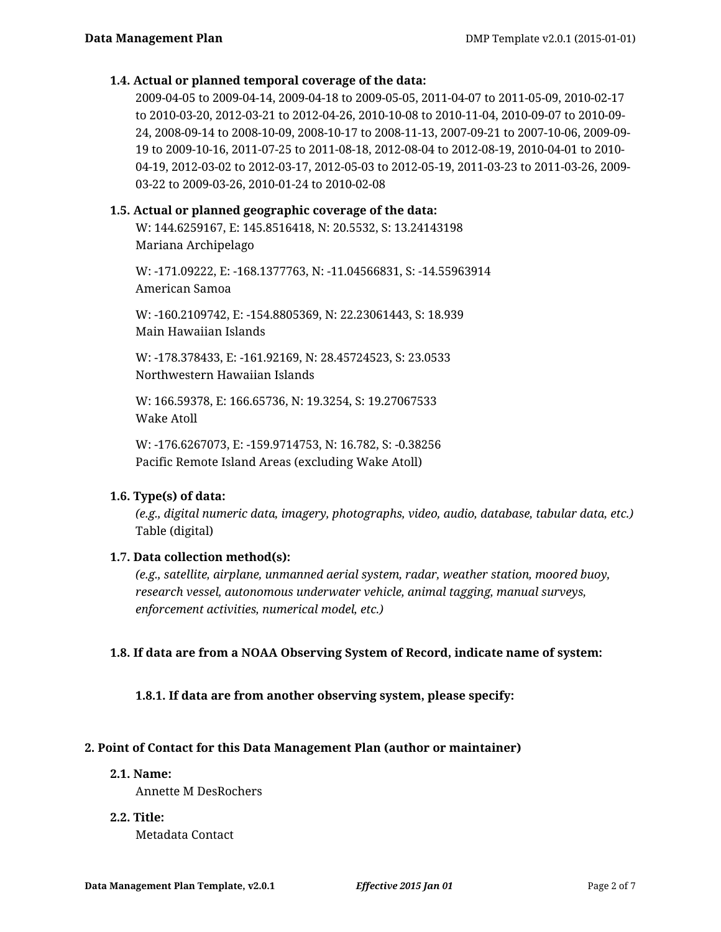#### **1.4. Actual or planned temporal coverage of the data:**

2009-04-05 to 2009-04-14, 2009-04-18 to 2009-05-05, 2011-04-07 to 2011-05-09, 2010-02-17 to 2010-03-20, 2012-03-21 to 2012-04-26, 2010-10-08 to 2010-11-04, 2010-09-07 to 2010-09- 24, 2008-09-14 to 2008-10-09, 2008-10-17 to 2008-11-13, 2007-09-21 to 2007-10-06, 2009-09- 19 to 2009-10-16, 2011-07-25 to 2011-08-18, 2012-08-04 to 2012-08-19, 2010-04-01 to 2010- 04-19, 2012-03-02 to 2012-03-17, 2012-05-03 to 2012-05-19, 2011-03-23 to 2011-03-26, 2009- 03-22 to 2009-03-26, 2010-01-24 to 2010-02-08

#### **1.5. Actual or planned geographic coverage of the data:**

W: 144.6259167, E: 145.8516418, N: 20.5532, S: 13.24143198 Mariana Archipelago

W: -171.09222, E: -168.1377763, N: -11.04566831, S: -14.55963914 American Samoa

W: -160.2109742, E: -154.8805369, N: 22.23061443, S: 18.939 Main Hawaiian Islands

W: -178.378433, E: -161.92169, N: 28.45724523, S: 23.0533 Northwestern Hawaiian Islands

W: 166.59378, E: 166.65736, N: 19.3254, S: 19.27067533 Wake Atoll

W: -176.6267073, E: -159.9714753, N: 16.782, S: -0.38256 Pacific Remote Island Areas (excluding Wake Atoll)

# **1.6. Type(s) of data:**

*(e.g., digital numeric data, imagery, photographs, video, audio, database, tabular data, etc.)* Table (digital)

#### **1.7. Data collection method(s):**

*(e.g., satellite, airplane, unmanned aerial system, radar, weather station, moored buoy, research vessel, autonomous underwater vehicle, animal tagging, manual surveys, enforcement activities, numerical model, etc.)*

#### **1.8. If data are from a NOAA Observing System of Record, indicate name of system:**

**1.8.1. If data are from another observing system, please specify:**

# **2. Point of Contact for this Data Management Plan (author or maintainer)**

**2.1. Name:**

Annette M DesRochers

**2.2. Title:**

Metadata Contact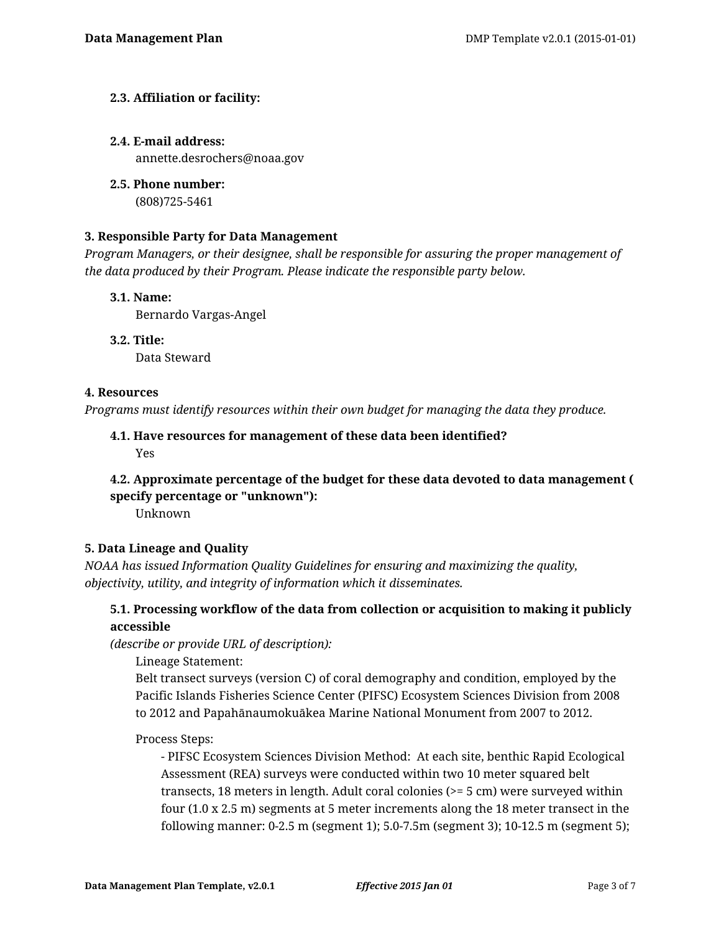# **2.3. Affiliation or facility:**

#### **2.4. E-mail address:**

annette.desrochers@noaa.gov

**2.5. Phone number:** (808)725-5461

# **3. Responsible Party for Data Management**

*Program Managers, or their designee, shall be responsible for assuring the proper management of the data produced by their Program. Please indicate the responsible party below.*

#### **3.1. Name:**

Bernardo Vargas-Angel

**3.2. Title:**

Data Steward

#### **4. Resources**

*Programs must identify resources within their own budget for managing the data they produce.*

# **4.1. Have resources for management of these data been identified?** Yes

# **4.2. Approximate percentage of the budget for these data devoted to data management ( specify percentage or "unknown"):**

Unknown

# **5. Data Lineage and Quality**

*NOAA has issued Information Quality Guidelines for ensuring and maximizing the quality, objectivity, utility, and integrity of information which it disseminates.*

# **5.1. Processing workflow of the data from collection or acquisition to making it publicly accessible**

*(describe or provide URL of description):*

Lineage Statement:

Belt transect surveys (version C) of coral demography and condition, employed by the Pacific Islands Fisheries Science Center (PIFSC) Ecosystem Sciences Division from 2008 to 2012 and Papahānaumokuākea Marine National Monument from 2007 to 2012.

# Process Steps:

- PIFSC Ecosystem Sciences Division Method: At each site, benthic Rapid Ecological Assessment (REA) surveys were conducted within two 10 meter squared belt transects, 18 meters in length. Adult coral colonies (>= 5 cm) were surveyed within four (1.0 x 2.5 m) segments at 5 meter increments along the 18 meter transect in the following manner: 0-2.5 m (segment 1); 5.0-7.5m (segment 3); 10-12.5 m (segment 5);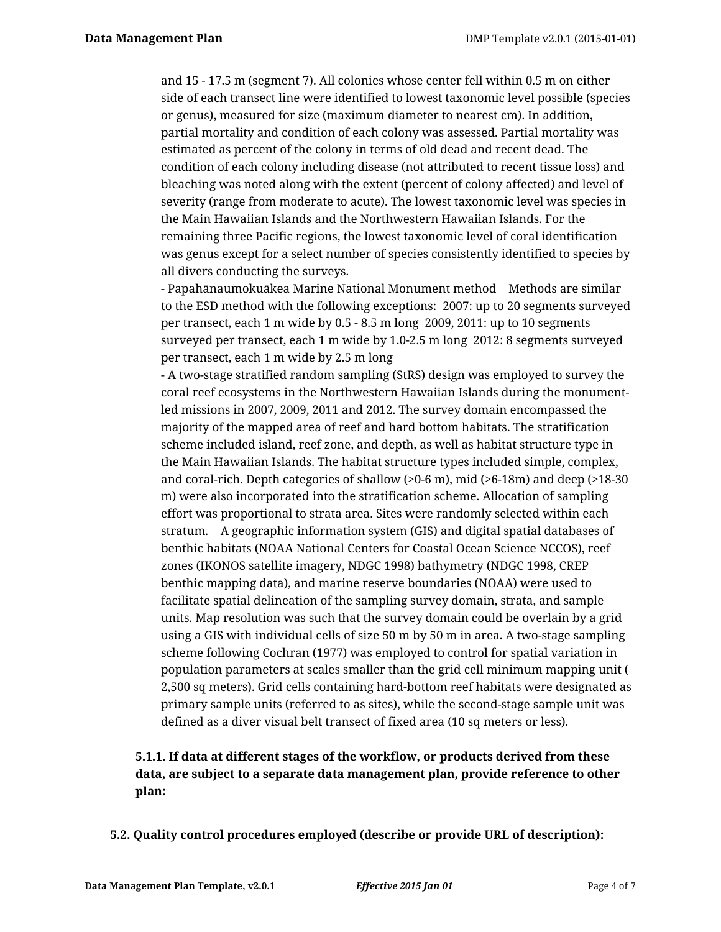and 15 - 17.5 m (segment 7). All colonies whose center fell within 0.5 m on either side of each transect line were identified to lowest taxonomic level possible (species or genus), measured for size (maximum diameter to nearest cm). In addition, partial mortality and condition of each colony was assessed. Partial mortality was estimated as percent of the colony in terms of old dead and recent dead. The condition of each colony including disease (not attributed to recent tissue loss) and bleaching was noted along with the extent (percent of colony affected) and level of severity (range from moderate to acute). The lowest taxonomic level was species in the Main Hawaiian Islands and the Northwestern Hawaiian Islands. For the remaining three Pacific regions, the lowest taxonomic level of coral identification was genus except for a select number of species consistently identified to species by all divers conducting the surveys.

- Papahānaumokuākea Marine National Monument method Methods are similar to the ESD method with the following exceptions: 2007: up to 20 segments surveyed per transect, each 1 m wide by 0.5 - 8.5 m long 2009, 2011: up to 10 segments surveyed per transect, each 1 m wide by 1.0-2.5 m long 2012: 8 segments surveyed per transect, each 1 m wide by 2.5 m long

- A two-stage stratified random sampling (StRS) design was employed to survey the coral reef ecosystems in the Northwestern Hawaiian Islands during the monumentled missions in 2007, 2009, 2011 and 2012. The survey domain encompassed the majority of the mapped area of reef and hard bottom habitats. The stratification scheme included island, reef zone, and depth, as well as habitat structure type in the Main Hawaiian Islands. The habitat structure types included simple, complex, and coral-rich. Depth categories of shallow (>0-6 m), mid (>6-18m) and deep (>18-30 m) were also incorporated into the stratification scheme. Allocation of sampling effort was proportional to strata area. Sites were randomly selected within each stratum. A geographic information system (GIS) and digital spatial databases of benthic habitats (NOAA National Centers for Coastal Ocean Science NCCOS), reef zones (IKONOS satellite imagery, NDGC 1998) bathymetry (NDGC 1998, CREP benthic mapping data), and marine reserve boundaries (NOAA) were used to facilitate spatial delineation of the sampling survey domain, strata, and sample units. Map resolution was such that the survey domain could be overlain by a grid using a GIS with individual cells of size 50 m by 50 m in area. A two-stage sampling scheme following Cochran (1977) was employed to control for spatial variation in population parameters at scales smaller than the grid cell minimum mapping unit ( 2,500 sq meters). Grid cells containing hard-bottom reef habitats were designated as primary sample units (referred to as sites), while the second-stage sample unit was defined as a diver visual belt transect of fixed area (10 sq meters or less).

# **5.1.1. If data at different stages of the workflow, or products derived from these data, are subject to a separate data management plan, provide reference to other plan:**

**5.2. Quality control procedures employed (describe or provide URL of description):**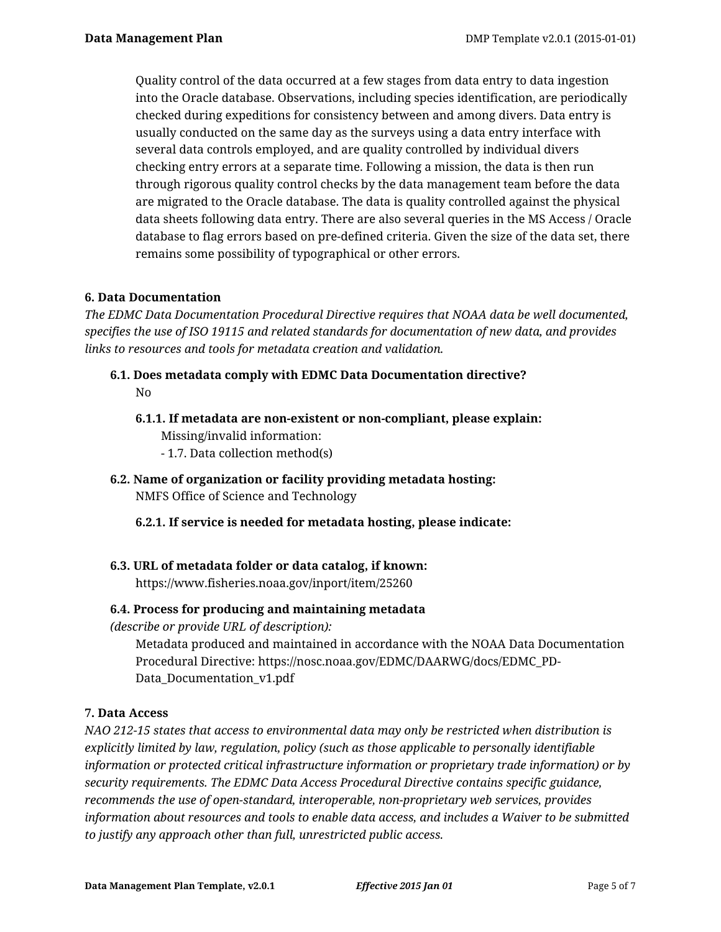Quality control of the data occurred at a few stages from data entry to data ingestion into the Oracle database. Observations, including species identification, are periodically checked during expeditions for consistency between and among divers. Data entry is usually conducted on the same day as the surveys using a data entry interface with several data controls employed, and are quality controlled by individual divers checking entry errors at a separate time. Following a mission, the data is then run through rigorous quality control checks by the data management team before the data are migrated to the Oracle database. The data is quality controlled against the physical data sheets following data entry. There are also several queries in the MS Access / Oracle database to flag errors based on pre-defined criteria. Given the size of the data set, there remains some possibility of typographical or other errors.

# **6. Data Documentation**

*The EDMC Data Documentation Procedural Directive requires that NOAA data be well documented, specifies the use of ISO 19115 and related standards for documentation of new data, and provides links to resources and tools for metadata creation and validation.*

- **6.1. Does metadata comply with EDMC Data Documentation directive?** No
	- **6.1.1. If metadata are non-existent or non-compliant, please explain:** Missing/invalid information: - 1.7. Data collection method(s)
- **6.2. Name of organization or facility providing metadata hosting:** NMFS Office of Science and Technology
	- **6.2.1. If service is needed for metadata hosting, please indicate:**
- **6.3. URL of metadata folder or data catalog, if known:** https://www.fisheries.noaa.gov/inport/item/25260

# **6.4. Process for producing and maintaining metadata**

*(describe or provide URL of description):*

Metadata produced and maintained in accordance with the NOAA Data Documentation Procedural Directive: https://nosc.noaa.gov/EDMC/DAARWG/docs/EDMC\_PD-Data\_Documentation\_v1.pdf

# **7. Data Access**

*NAO 212-15 states that access to environmental data may only be restricted when distribution is explicitly limited by law, regulation, policy (such as those applicable to personally identifiable information or protected critical infrastructure information or proprietary trade information) or by security requirements. The EDMC Data Access Procedural Directive contains specific guidance, recommends the use of open-standard, interoperable, non-proprietary web services, provides information about resources and tools to enable data access, and includes a Waiver to be submitted to justify any approach other than full, unrestricted public access.*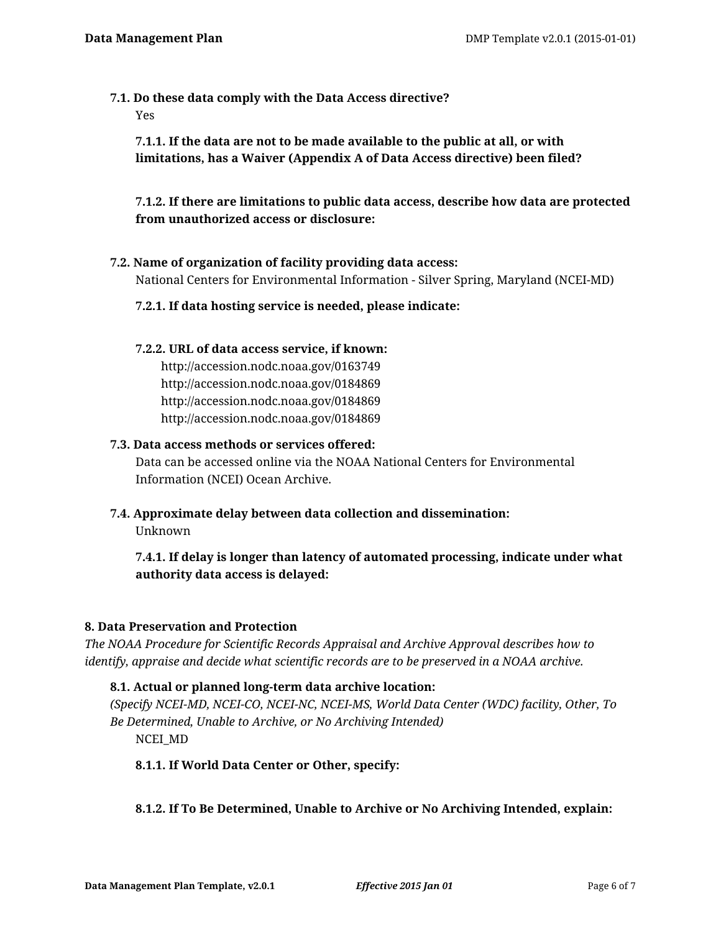**7.1. Do these data comply with the Data Access directive?** Yes

**7.1.1. If the data are not to be made available to the public at all, or with limitations, has a Waiver (Appendix A of Data Access directive) been filed?**

**7.1.2. If there are limitations to public data access, describe how data are protected from unauthorized access or disclosure:**

- **7.2. Name of organization of facility providing data access:** National Centers for Environmental Information - Silver Spring, Maryland (NCEI-MD)
	- **7.2.1. If data hosting service is needed, please indicate:**

#### **7.2.2. URL of data access service, if known:**

http://accession.nodc.noaa.gov/0163749 http://accession.nodc.noaa.gov/0184869 http://accession.nodc.noaa.gov/0184869 http://accession.nodc.noaa.gov/0184869

#### **7.3. Data access methods or services offered:**

Data can be accessed online via the NOAA National Centers for Environmental Information (NCEI) Ocean Archive.

**7.4. Approximate delay between data collection and dissemination:**

Unknown

**7.4.1. If delay is longer than latency of automated processing, indicate under what authority data access is delayed:**

# **8. Data Preservation and Protection**

*The NOAA Procedure for Scientific Records Appraisal and Archive Approval describes how to identify, appraise and decide what scientific records are to be preserved in a NOAA archive.*

# **8.1. Actual or planned long-term data archive location:**

*(Specify NCEI-MD, NCEI-CO, NCEI-NC, NCEI-MS, World Data Center (WDC) facility, Other, To Be Determined, Unable to Archive, or No Archiving Intended)* NCEI\_MD

# **8.1.1. If World Data Center or Other, specify:**

# **8.1.2. If To Be Determined, Unable to Archive or No Archiving Intended, explain:**